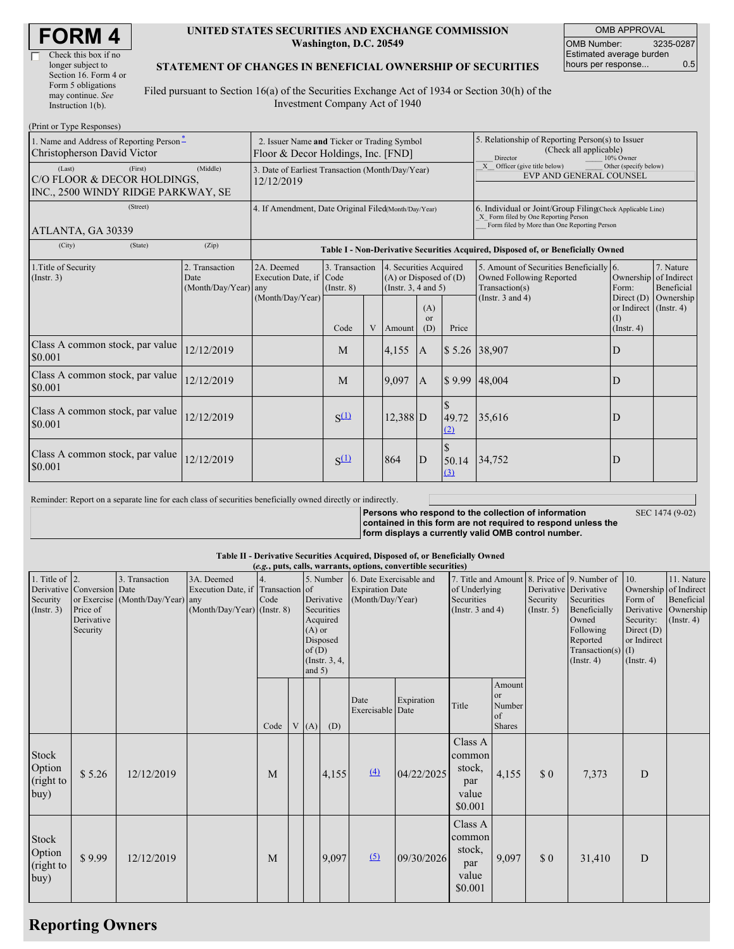| <b>FORM4</b> |
|--------------|
|--------------|

 $\overline{\Gamma}$ 

| Check this box if no  |
|-----------------------|
| longer subject to     |
| Section 16. Form 4 or |
| Form 5 obligations    |
| may continue. See     |
| Instruction $1(b)$ .  |

#### **UNITED STATES SECURITIES AND EXCHANGE COMMISSION Washington, D.C. 20549**

OMB APPROVAL OMB Number: 3235-0287 Estimated average burden hours per response... 0.5

### **STATEMENT OF CHANGES IN BENEFICIAL OWNERSHIP OF SECURITIES**

Filed pursuant to Section 16(a) of the Securities Exchange Act of 1934 or Section 30(h) of the Investment Company Act of 1940

| (Print or Type Responses)                                                              |                                                                                   |                                                           |                                   |   |                                                                                  |                                                                                                                                                    |                    |                                                                                       |                                                        |                               |  |
|----------------------------------------------------------------------------------------|-----------------------------------------------------------------------------------|-----------------------------------------------------------|-----------------------------------|---|----------------------------------------------------------------------------------|----------------------------------------------------------------------------------------------------------------------------------------------------|--------------------|---------------------------------------------------------------------------------------|--------------------------------------------------------|-------------------------------|--|
| 1. Name and Address of Reporting Person <sup>*</sup><br>Christopherson David Victor    | 2. Issuer Name and Ticker or Trading Symbol<br>Floor & Decor Holdings, Inc. [FND] |                                                           |                                   |   |                                                                                  | 5. Relationship of Reporting Person(s) to Issuer<br>(Check all applicable)<br>Director<br>10% Owner                                                |                    |                                                                                       |                                                        |                               |  |
| (Last)<br>(First)<br>C/O FLOOR & DECOR HOLDINGS,<br>INC., 2500 WINDY RIDGE PARKWAY, SE | 3. Date of Earliest Transaction (Month/Day/Year)<br>12/12/2019                    |                                                           |                                   |   |                                                                                  | Other (specify below)<br>X Officer (give title below)<br>EVP AND GENERAL COUNSEL                                                                   |                    |                                                                                       |                                                        |                               |  |
| (Street)<br>ATLANTA, GA 30339                                                          | 4. If Amendment, Date Original Filed(Month/Day/Year)                              |                                                           |                                   |   |                                                                                  | 6. Individual or Joint/Group Filing Check Applicable Line)<br>X Form filed by One Reporting Person<br>Form filed by More than One Reporting Person |                    |                                                                                       |                                                        |                               |  |
| (City)<br>(State)                                                                      | (Zip)                                                                             |                                                           |                                   |   |                                                                                  |                                                                                                                                                    |                    | Table I - Non-Derivative Securities Acquired, Disposed of, or Beneficially Owned      |                                                        |                               |  |
| 1. Title of Security<br>$($ Instr. 3 $)$                                               | 2. Transaction<br>Date<br>(Month/Day/Year) any                                    | 2A. Deemed<br>Execution Date, if Code<br>(Month/Day/Year) | 3. Transaction<br>$($ Instr. $8)$ |   | 4. Securities Acquired<br>$(A)$ or Disposed of $(D)$<br>(Instr. $3, 4$ and $5$ ) |                                                                                                                                                    |                    | 5. Amount of Securities Beneficially 6.<br>Owned Following Reported<br>Transaction(s) | Ownership of Indirect<br>Form:                         | 7. Nature<br>Beneficial       |  |
|                                                                                        |                                                                                   |                                                           | Code                              | V | Amount                                                                           | (A)<br>or<br>(D)                                                                                                                                   | Price              | (Instr. $3$ and $4$ )                                                                 | Direct $(D)$<br>or Indirect<br>(I)<br>$($ Instr. 4 $)$ | Ownership<br>$($ Instr. 4 $)$ |  |
| Class A common stock, par value<br>\$0.001                                             | 12/12/2019                                                                        |                                                           | M                                 |   | 4,155                                                                            | <b>A</b>                                                                                                                                           |                    | \$5.26 38,907                                                                         | D                                                      |                               |  |
| Class A common stock, par value<br>\$0.001                                             | 12/12/2019                                                                        |                                                           | M                                 |   | 9.097                                                                            | $\mathbf{A}$                                                                                                                                       |                    | \$9.99 48,004                                                                         | D                                                      |                               |  |
| Class A common stock, par value<br>\$0.001                                             | 12/12/2019                                                                        |                                                           | $S^{(1)}$                         |   | $12,388$ D                                                                       |                                                                                                                                                    | 49.72<br>(2)       | 35,616                                                                                | D                                                      |                               |  |
| Class A common stock, par value<br>\$0.001                                             | 12/12/2019                                                                        |                                                           | $S^{(1)}$                         |   | 864                                                                              | D                                                                                                                                                  | \$<br>50.14<br>(3) | 34,752                                                                                | D                                                      |                               |  |

Reminder: Report on a separate line for each class of securities beneficially owned directly or indirectly.

SEC 1474 (9-02)

**Persons who respond to the collection of information contained in this form are not required to respond unless the form displays a currently valid OMB control number.**

| Table II - Derivative Securities Acquired, Disposed of, or Beneficially Owned |  |  |
|-------------------------------------------------------------------------------|--|--|
| (ag nuta colla way antiona convertible conviting)                             |  |  |

| 7. Title and Amount 8. Price of 9. Number of<br>3. Transaction<br>10.<br>11. Nature<br>1. Title of $ 2$ .<br>3A. Deemed<br>5. Number<br>6. Date Exercisable and<br>Derivative Conversion Date<br>Execution Date, if Transaction of<br>Ownership of Indirect<br><b>Expiration Date</b><br>of Underlying<br>Derivative Derivative<br>Beneficial<br>Security<br>or Exercise (Month/Day/Year) any<br>Derivative<br>(Month/Day/Year)<br>Securities<br>Security<br>Securities<br>Form of<br>Code<br>Price of<br>(Month/Day/Year) (Instr. 8)<br>Derivative Ownership<br>(Insert. 3)<br>Securities<br>(Instr. $3$ and $4$ )<br>Beneficially<br>(Insert. 5)<br>Derivative<br>Acquired<br>Owned<br>Security:<br>$($ Instr. 4 $)$<br>Following<br>Security<br>$(A)$ or<br>Direct $(D)$<br>Disposed<br>or Indirect<br>Reported<br>of(D)<br>Transaction(s) $(I)$<br>$($ Instr. $3, 4,$<br>$($ Instr. 4 $)$<br>$($ Instr. 4 $)$<br>and $5)$<br>Amount<br>or<br>Expiration<br>Date<br>Number<br>Title<br>Exercisable<br>Date<br>of<br>Shares<br>Code<br>V(A)<br>(D)<br>Class A<br>Stock<br>common<br>Option<br>stock,<br>(4)<br>04/22/2025<br>\$0<br>D<br>\$5.26<br>12/12/2019<br>4,155<br>4,155<br>M<br>7,373<br>(right to<br>par<br>buy)<br>value<br>\$0.001<br>Class A |  |  |  |  | (e.g., puts, calls, warrants, options, convertible securities) |  |  |  |
|------------------------------------------------------------------------------------------------------------------------------------------------------------------------------------------------------------------------------------------------------------------------------------------------------------------------------------------------------------------------------------------------------------------------------------------------------------------------------------------------------------------------------------------------------------------------------------------------------------------------------------------------------------------------------------------------------------------------------------------------------------------------------------------------------------------------------------------------------------------------------------------------------------------------------------------------------------------------------------------------------------------------------------------------------------------------------------------------------------------------------------------------------------------------------------------------------------------------------------------------------------|--|--|--|--|----------------------------------------------------------------|--|--|--|
|                                                                                                                                                                                                                                                                                                                                                                                                                                                                                                                                                                                                                                                                                                                                                                                                                                                                                                                                                                                                                                                                                                                                                                                                                                                            |  |  |  |  |                                                                |  |  |  |
|                                                                                                                                                                                                                                                                                                                                                                                                                                                                                                                                                                                                                                                                                                                                                                                                                                                                                                                                                                                                                                                                                                                                                                                                                                                            |  |  |  |  |                                                                |  |  |  |
|                                                                                                                                                                                                                                                                                                                                                                                                                                                                                                                                                                                                                                                                                                                                                                                                                                                                                                                                                                                                                                                                                                                                                                                                                                                            |  |  |  |  |                                                                |  |  |  |
|                                                                                                                                                                                                                                                                                                                                                                                                                                                                                                                                                                                                                                                                                                                                                                                                                                                                                                                                                                                                                                                                                                                                                                                                                                                            |  |  |  |  |                                                                |  |  |  |
|                                                                                                                                                                                                                                                                                                                                                                                                                                                                                                                                                                                                                                                                                                                                                                                                                                                                                                                                                                                                                                                                                                                                                                                                                                                            |  |  |  |  |                                                                |  |  |  |
|                                                                                                                                                                                                                                                                                                                                                                                                                                                                                                                                                                                                                                                                                                                                                                                                                                                                                                                                                                                                                                                                                                                                                                                                                                                            |  |  |  |  |                                                                |  |  |  |
|                                                                                                                                                                                                                                                                                                                                                                                                                                                                                                                                                                                                                                                                                                                                                                                                                                                                                                                                                                                                                                                                                                                                                                                                                                                            |  |  |  |  |                                                                |  |  |  |
|                                                                                                                                                                                                                                                                                                                                                                                                                                                                                                                                                                                                                                                                                                                                                                                                                                                                                                                                                                                                                                                                                                                                                                                                                                                            |  |  |  |  |                                                                |  |  |  |
|                                                                                                                                                                                                                                                                                                                                                                                                                                                                                                                                                                                                                                                                                                                                                                                                                                                                                                                                                                                                                                                                                                                                                                                                                                                            |  |  |  |  |                                                                |  |  |  |
|                                                                                                                                                                                                                                                                                                                                                                                                                                                                                                                                                                                                                                                                                                                                                                                                                                                                                                                                                                                                                                                                                                                                                                                                                                                            |  |  |  |  |                                                                |  |  |  |
|                                                                                                                                                                                                                                                                                                                                                                                                                                                                                                                                                                                                                                                                                                                                                                                                                                                                                                                                                                                                                                                                                                                                                                                                                                                            |  |  |  |  |                                                                |  |  |  |
|                                                                                                                                                                                                                                                                                                                                                                                                                                                                                                                                                                                                                                                                                                                                                                                                                                                                                                                                                                                                                                                                                                                                                                                                                                                            |  |  |  |  |                                                                |  |  |  |
|                                                                                                                                                                                                                                                                                                                                                                                                                                                                                                                                                                                                                                                                                                                                                                                                                                                                                                                                                                                                                                                                                                                                                                                                                                                            |  |  |  |  |                                                                |  |  |  |
|                                                                                                                                                                                                                                                                                                                                                                                                                                                                                                                                                                                                                                                                                                                                                                                                                                                                                                                                                                                                                                                                                                                                                                                                                                                            |  |  |  |  |                                                                |  |  |  |
|                                                                                                                                                                                                                                                                                                                                                                                                                                                                                                                                                                                                                                                                                                                                                                                                                                                                                                                                                                                                                                                                                                                                                                                                                                                            |  |  |  |  |                                                                |  |  |  |
|                                                                                                                                                                                                                                                                                                                                                                                                                                                                                                                                                                                                                                                                                                                                                                                                                                                                                                                                                                                                                                                                                                                                                                                                                                                            |  |  |  |  |                                                                |  |  |  |
|                                                                                                                                                                                                                                                                                                                                                                                                                                                                                                                                                                                                                                                                                                                                                                                                                                                                                                                                                                                                                                                                                                                                                                                                                                                            |  |  |  |  |                                                                |  |  |  |
|                                                                                                                                                                                                                                                                                                                                                                                                                                                                                                                                                                                                                                                                                                                                                                                                                                                                                                                                                                                                                                                                                                                                                                                                                                                            |  |  |  |  |                                                                |  |  |  |
|                                                                                                                                                                                                                                                                                                                                                                                                                                                                                                                                                                                                                                                                                                                                                                                                                                                                                                                                                                                                                                                                                                                                                                                                                                                            |  |  |  |  |                                                                |  |  |  |
|                                                                                                                                                                                                                                                                                                                                                                                                                                                                                                                                                                                                                                                                                                                                                                                                                                                                                                                                                                                                                                                                                                                                                                                                                                                            |  |  |  |  |                                                                |  |  |  |
|                                                                                                                                                                                                                                                                                                                                                                                                                                                                                                                                                                                                                                                                                                                                                                                                                                                                                                                                                                                                                                                                                                                                                                                                                                                            |  |  |  |  |                                                                |  |  |  |
| common<br>Stock                                                                                                                                                                                                                                                                                                                                                                                                                                                                                                                                                                                                                                                                                                                                                                                                                                                                                                                                                                                                                                                                                                                                                                                                                                            |  |  |  |  |                                                                |  |  |  |
| stock,                                                                                                                                                                                                                                                                                                                                                                                                                                                                                                                                                                                                                                                                                                                                                                                                                                                                                                                                                                                                                                                                                                                                                                                                                                                     |  |  |  |  |                                                                |  |  |  |
| Option<br>(5)<br>\$9.99<br>\$0<br>D<br>9,097<br>9,097<br>12/12/2019<br>09/30/2026<br>M<br>31,410                                                                                                                                                                                                                                                                                                                                                                                                                                                                                                                                                                                                                                                                                                                                                                                                                                                                                                                                                                                                                                                                                                                                                           |  |  |  |  |                                                                |  |  |  |
| par<br>(right to                                                                                                                                                                                                                                                                                                                                                                                                                                                                                                                                                                                                                                                                                                                                                                                                                                                                                                                                                                                                                                                                                                                                                                                                                                           |  |  |  |  |                                                                |  |  |  |
| value<br>buy)                                                                                                                                                                                                                                                                                                                                                                                                                                                                                                                                                                                                                                                                                                                                                                                                                                                                                                                                                                                                                                                                                                                                                                                                                                              |  |  |  |  |                                                                |  |  |  |
| \$0.001                                                                                                                                                                                                                                                                                                                                                                                                                                                                                                                                                                                                                                                                                                                                                                                                                                                                                                                                                                                                                                                                                                                                                                                                                                                    |  |  |  |  |                                                                |  |  |  |

# **Reporting Owners**